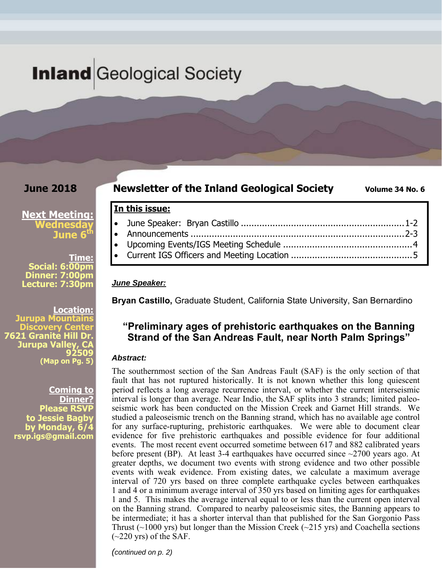# **Inland** Geological Society

**In this issue:** 

### **June 2018**

**Newsletter of the Inland Geological Society** Volume 34 No. 6

#### **Next Meeting: Wednesday June 6<sup>t</sup>**

**Time: Social: 6:00pm Dinner: 7:00pm Lecture: 7:30pm** 

**Location: pa Mountai Discovery Center 7621 Granite Hill Dr. Jurupa Valley 92509 (Map on Pg. 5)**

> **Coming to Dinner? Please RSVP to Jessie Bagby by Monday, 6/4 rsvp.igs@gmail.com**

*June Speaker:* 

 June Speaker: Bryan Castillo .............................................................. 1-2 Announcements ................................................................................. 2-3 Upcoming Events/IGS Meeting Schedule ................................................. 4 Current IGS Officers and Meeting Location .............................................. 5

**Bryan Castillo,** Graduate Student, California State University, San Bernardino

## **"Preliminary ages of prehistoric earthquakes on the Banning Strand of the San Andreas Fault, near North Palm Springs"**

#### *Abstract:*

The southernmost section of the San Andreas Fault (SAF) is the only section of that fault that has not ruptured historically. It is not known whether this long quiescent period reflects a long average recurrence interval, or whether the current interseismic interval is longer than average. Near Indio, the SAF splits into 3 strands; limited paleoseismic work has been conducted on the Mission Creek and Garnet Hill strands. We studied a paleoseismic trench on the Banning strand, which has no available age control for any surface-rupturing, prehistoric earthquakes. We were able to document clear evidence for five prehistoric earthquakes and possible evidence for four additional events. The most recent event occurred sometime between 617 and 882 calibrated years before present (BP). At least 3-4 earthquakes have occurred since  $\sim$ 2700 years ago. At greater depths, we document two events with strong evidence and two other possible events with weak evidence. From existing dates, we calculate a maximum average interval of 720 yrs based on three complete earthquake cycles between earthquakes 1 and 4 or a minimum average interval of 350 yrs based on limiting ages for earthquakes 1 and 5. This makes the average interval equal to or less than the current open interval on the Banning strand. Compared to nearby paleoseismic sites, the Banning appears to be intermediate; it has a shorter interval than that published for the San Gorgonio Pass Thrust  $(\sim 1000 \text{ yrs})$  but longer than the Mission Creek  $(\sim 215 \text{ yrs})$  and Coachella sections  $(\sim 220 \text{ yrs})$  of the SAF.

*(continued on p. 2)*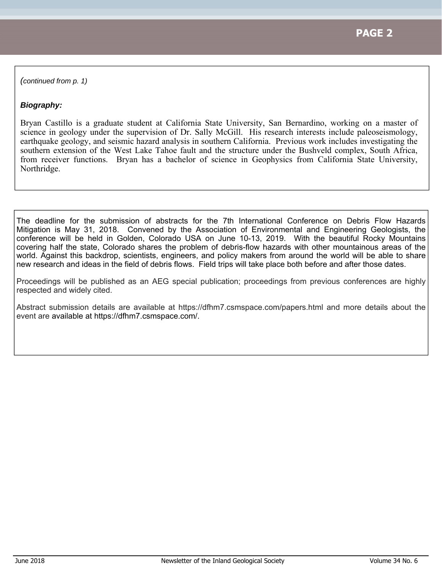*(continued from p. 1)* 

### *Biography:*

Bryan Castillo is a graduate student at California State University, San Bernardino, working on a master of science in geology under the supervision of Dr. Sally McGill. His research interests include paleoseismology, earthquake geology, and seismic hazard analysis in southern California. Previous work includes investigating the southern extension of the West Lake Tahoe fault and the structure under the Bushveld complex, South Africa, from receiver functions. Bryan has a bachelor of science in Geophysics from California State University, Northridge.

The deadline for the submission of abstracts for the 7th International Conference on Debris Flow Hazards Mitigation is May 31, 2018. Convened by the Association of Environmental and Engineering Geologists, the conference will be held in Golden, Colorado USA on June 10-13, 2019. With the beautiful Rocky Mountains covering half the state, Colorado shares the problem of debris-flow hazards with other mountainous areas of the world. Against this backdrop, scientists, engineers, and policy makers from around the world will be able to share new research and ideas in the field of debris flows. Field trips will take place both before and after those dates.

Proceedings will be published as an AEG special publication; proceedings from previous conferences are highly respected and widely cited.

Abstract submission details are available at https://dfhm7.csmspace.com/papers.html and more details about the event are available at https://dfhm7.csmspace.com/.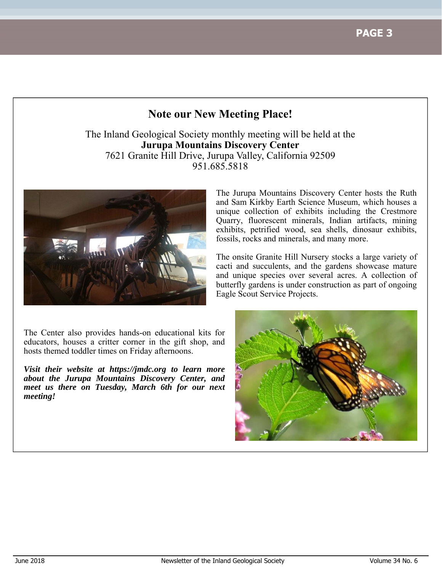**PAGE 3**

# **Note our New Meeting Place!**

The Inland Geological Society monthly meeting will be held at the **Jurupa Mountains Discovery Center** 7621 Granite Hill Drive, Jurupa Valley, California 92509 951.685.5818



The Jurupa Mountains Discovery Center hosts the Ruth and Sam Kirkby Earth Science Museum, which houses a unique collection of exhibits including the Crestmore Quarry, fluorescent minerals, Indian artifacts, mining exhibits, petrified wood, sea shells, dinosaur exhibits, fossils, rocks and minerals, and many more.

The onsite Granite Hill Nursery stocks a large variety of cacti and succulents, and the gardens showcase mature and unique species over several acres. A collection of butterfly gardens is under construction as part of ongoing Eagle Scout Service Projects.

The Center also provides hands-on educational kits for educators, houses a critter corner in the gift shop, and hosts themed toddler times on Friday afternoons.

*Visit their website at https://jmdc.org to learn more about the Jurupa Mountains Discovery Center, and meet us there on Tuesday, March 6th for our next meeting!*

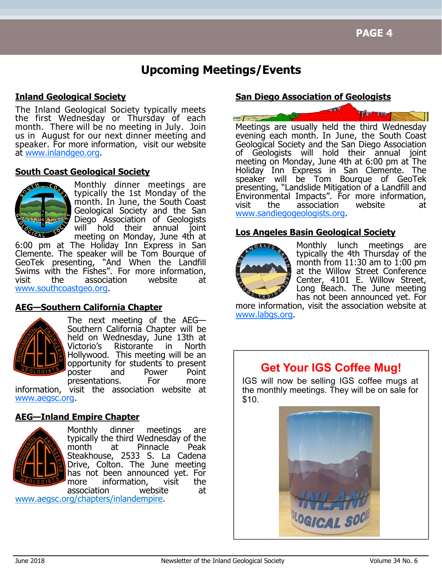# **Upcoming Meetings/Events**

### **Inland Geological Society**

The Inland Geological Society typically meets the first Wednesday or Thursday of each month. There will be no meeting in July. Join us in August for our next dinner meeting and speaker. For more information, visit our website at www.inlandgeo.org.

#### **South Coast Geological Society**



Monthly dinner meetings are typically the 1st Monday of the month. In June, the South Coast Geological Society and the San Diego Association of Geologists will hold their annual joint meeting on Monday, June 4th at

6:00 pm at The Holiday Inn Express in San Clemente. The speaker will be Tom Bourque of GeoTek presenting, "And When the Landfill "And When the Landfill Swims with the Fishes". For more information, visit the association website at www.southcoastgeo.org.

### **AEG—Southern California Chapter**



The next meeting of the AEG— Southern California Chapter will be held on Wednesday, June 13th at Victorio's Ristorante in North Hollywood. This meeting will be an opportunity for students to present poster and Power Point presentations. For more

information, visit the association website at www.aegsc.org.

#### **AEG—Inland Empire Chapter**



Monthly dinner meetings are typically the third Wednesday of the month at Pinnacle Peak Steakhouse, 2533 S. La Cadena Drive, Colton. The June meeting has not been announced yet. For more information, visit the association website at

www.aegsc.org/chapters/inlandempire.

### **San Diego Association of Geologists**



Meetings are usually held the third Wednesday evening each month. In June, the South Coast Geological Society and the San Diego Association of Geologists will hold their annual joint meeting on Monday, June 4th at 6:00 pm at The Holiday Inn Express in San Clemente. The speaker will be Tom Bourque of GeoTek presenting, "Landslide Mitigation of a Landfill and Environmental Impacts". For more information, visit the association website at www.sandiegogeologists.org.

#### **Los Angeles Basin Geological Society**



Monthly lunch meetings are typically the 4th Thursday of the month from  $11:30$  am to  $1:00$  pm at the Willow Street Conference Center, 4101 E. Willow Street, Long Beach. The June meeting has not been announced yet. For

more information, visit the association website at www.labgs.org.

# **Get Your IGS Coffee Mug!**

IGS will now be selling IGS coffee mugs at the monthly meetings. They will be on sale for \$10.